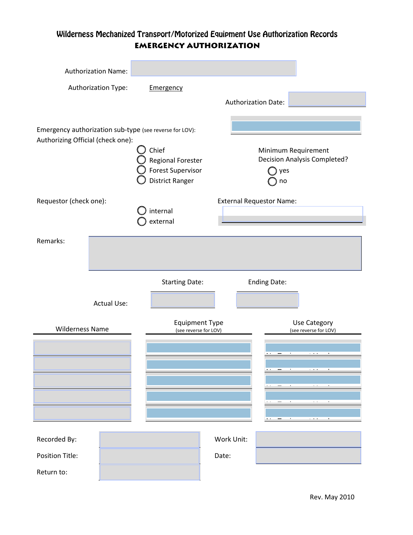## Wilderness Mechanized Transport/Motorized Equipment Use Authorization Records **Emergency Authorization**

|                                                         | Authorization Name: |                                                                                  |            |                                                                         |
|---------------------------------------------------------|---------------------|----------------------------------------------------------------------------------|------------|-------------------------------------------------------------------------|
|                                                         | Authorization Type: | Emergency                                                                        |            |                                                                         |
|                                                         |                     |                                                                                  |            | <b>Authorization Date:</b>                                              |
| Emergency authorization sub-type (see reverse for LOV): |                     |                                                                                  |            |                                                                         |
| Authorizing Official (check one):                       |                     | Chief<br>Regional Forester<br><b>Forest Supervisor</b><br><b>District Ranger</b> |            | Minimum Requirement<br><b>Decision Analysis Completed?</b><br>yes<br>no |
| Requestor (check one):                                  |                     | <b>External Requestor Name:</b><br>internal                                      |            |                                                                         |
|                                                         |                     | external                                                                         |            |                                                                         |
| Remarks:                                                |                     |                                                                                  |            |                                                                         |
|                                                         |                     |                                                                                  |            |                                                                         |
|                                                         |                     | <b>Starting Date:</b>                                                            |            | <b>Ending Date:</b>                                                     |
|                                                         | <b>Actual Use:</b>  |                                                                                  |            |                                                                         |
| <b>Wilderness Name</b>                                  |                     | <b>Equipment Type</b><br>(see reverse for LOV)                                   |            | Use Category<br>(see reverse for LOV)                                   |
|                                                         |                     |                                                                                  |            |                                                                         |
|                                                         |                     |                                                                                  |            |                                                                         |
|                                                         |                     |                                                                                  |            |                                                                         |
|                                                         |                     |                                                                                  |            |                                                                         |
|                                                         |                     |                                                                                  |            |                                                                         |
| Recorded By:                                            |                     |                                                                                  | Work Unit: |                                                                         |
| Position Title:                                         |                     |                                                                                  | Date:      |                                                                         |